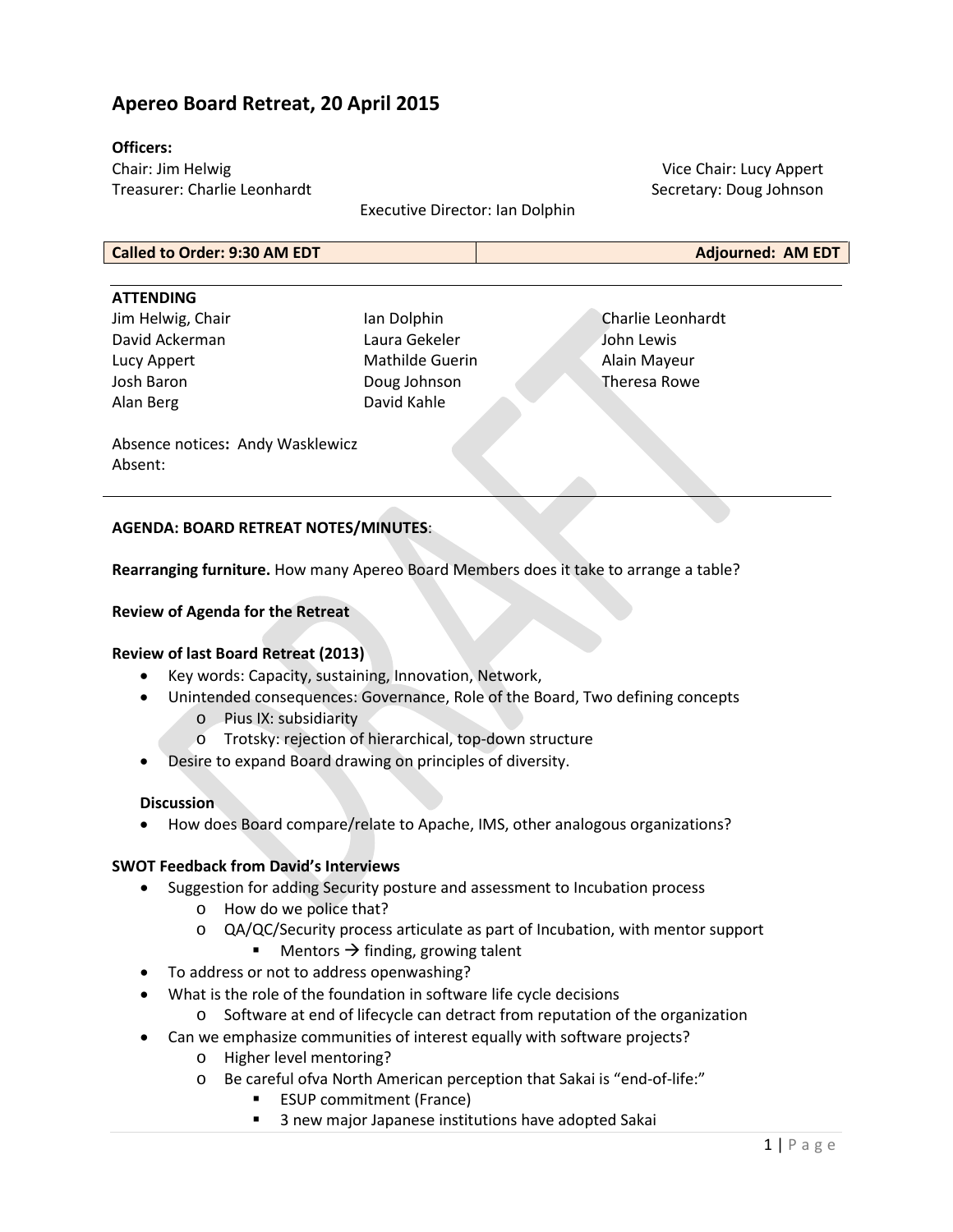# **Apereo Board Retreat, 20 April 2015**

#### **Officers:**

Chair: Jim Helwig Treasurer: Charlie Leonhardt

Vice Chair: Lucy Appert Secretary: Doug Johnson

Executive Director: Ian Dolphin

**Called to Order: 9:30 AM EDT Adjourned: AM EDT**

| <b>ATTENDING</b>                 |                        |                   |
|----------------------------------|------------------------|-------------------|
| Jim Helwig, Chair                | Ian Dolphin            | Charlie Leonhardt |
| David Ackerman                   | Laura Gekeler          | John Lewis        |
| Lucy Appert                      | <b>Mathilde Guerin</b> | Alain Mayeur      |
| Josh Baron                       | Doug Johnson           | Theresa Rowe      |
| Alan Berg                        | David Kahle            |                   |
| Abconco noticos: Andy Wasklowicz |                        |                   |

Absence notices**:** Andy Wasklewicz Absent:

### **AGENDA: BOARD RETREAT NOTES/MINUTES**:

**Rearranging furniture.** How many Apereo Board Members does it take to arrange a table?

#### **Review of Agenda for the Retreat**

#### **Review of last Board Retreat (2013)**

- Key words: Capacity, sustaining, Innovation, Network,
- Unintended consequences: Governance, Role of the Board, Two defining concepts
	- o Pius IX: subsidiarity
	- o Trotsky: rejection of hierarchical, top-down structure
- Desire to expand Board drawing on principles of diversity.

#### **Discussion**

• How does Board compare/relate to Apache, IMS, other analogous organizations?

## **SWOT Feedback from David's Interviews**

- Suggestion for adding Security posture and assessment to Incubation process
	- o How do we police that?
	- o QA/QC/Security process articulate as part of Incubation, with mentor support
		- Mentors  $\rightarrow$  finding, growing talent
- To address or not to address openwashing?
- What is the role of the foundation in software life cycle decisions
	- o Software at end of lifecycle can detract from reputation of the organization
- Can we emphasize communities of interest equally with software projects?
	- o Higher level mentoring?
	- o Be careful ofva North American perception that Sakai is "end-of-life:"
		- ESUP commitment (France)
		- 3 new major Japanese institutions have adopted Sakai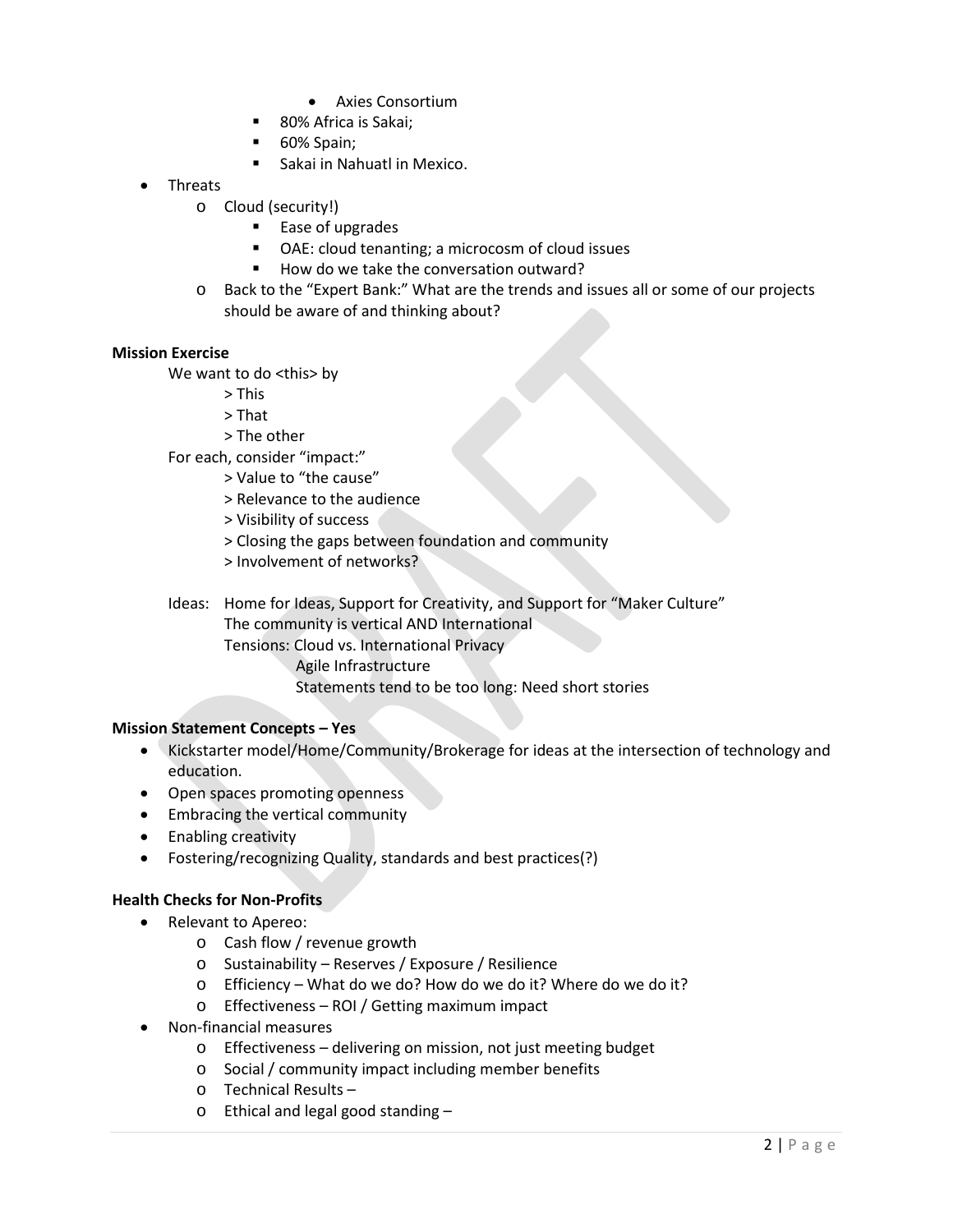- Axies Consortium
- 80% Africa is Sakai;
- 60% Spain;
- **Sakai in Nahuatl in Mexico.**
- Threats
	- o Cloud (security!)
		- **Ease of upgrades**
		- OAE: cloud tenanting; a microcosm of cloud issues
		- $How$  do we take the conversation outward?
	- o Back to the "Expert Bank:" What are the trends and issues all or some of our projects should be aware of and thinking about?

#### **Mission Exercise**

We want to do <this> by

- > This
- > That
- > The other

For each, consider "impact:"

- > Value to "the cause"
- > Relevance to the audience
- > Visibility of success
- > Closing the gaps between foundation and community
- > Involvement of networks?

Ideas: Home for Ideas, Support for Creativity, and Support for "Maker Culture"

The community is vertical AND International Tensions: Cloud vs. International Privacy

- - Agile Infrastructure
	- Statements tend to be too long: Need short stories

### **Mission Statement Concepts – Yes**

- Kickstarter model/Home/Community/Brokerage for ideas at the intersection of technology and education.
- Open spaces promoting openness
- Embracing the vertical community
- Enabling creativity
- Fostering/recognizing Quality, standards and best practices(?)

### **Health Checks for Non-Profits**

- Relevant to Apereo:
	- o Cash flow / revenue growth
	- o Sustainability Reserves / Exposure / Resilience
	- o Efficiency What do we do? How do we do it? Where do we do it?
	- o Effectiveness ROI / Getting maximum impact
- Non-financial measures
	- o Effectiveness delivering on mission, not just meeting budget
	- o Social / community impact including member benefits
	- o Technical Results –
	- o Ethical and legal good standing –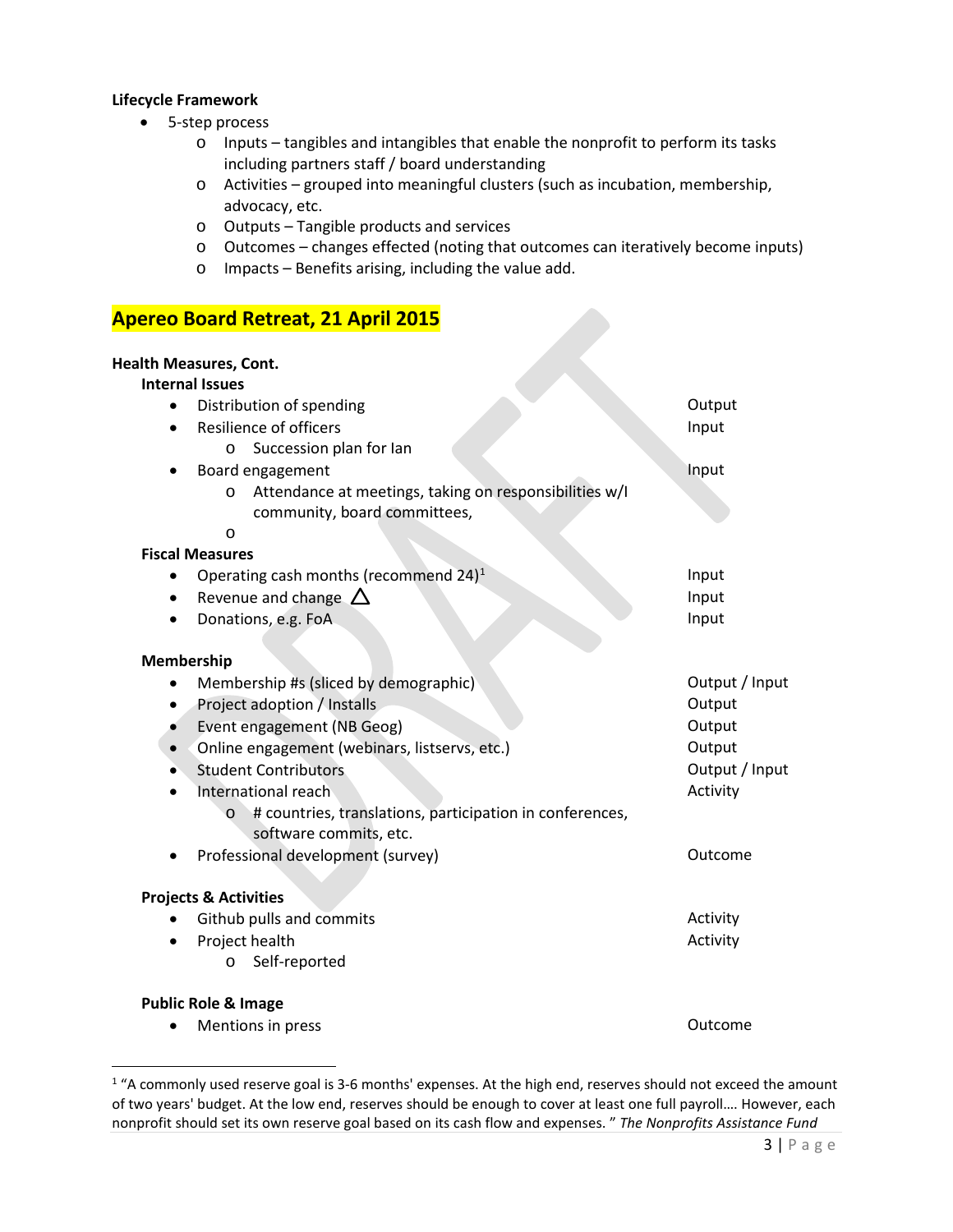#### **Lifecycle Framework**

- 5-step process
	- o Inputs tangibles and intangibles that enable the nonprofit to perform its tasks including partners staff / board understanding
	- o Activities grouped into meaningful clusters (such as incubation, membership, advocacy, etc.
	- o Outputs Tangible products and services
	- o Outcomes changes effected (noting that outcomes can iteratively become inputs)

K

o Impacts – Benefits arising, including the value add.

# **Apereo Board Retreat, 21 April 2015**

### **Health Measures, Cont.**

### **Internal Issues**

| Distribution of spending                                      | Output         |
|---------------------------------------------------------------|----------------|
| <b>Resilience of officers</b>                                 | Input          |
| Succession plan for lan<br>$\circ$                            |                |
| Board engagement                                              | Input          |
| Attendance at meetings, taking on responsibilities w/I<br>O   |                |
| community, board committees,                                  |                |
| O                                                             |                |
| <b>Fiscal Measures</b>                                        |                |
| Operating cash months (recommend 24) <sup>1</sup>             | Input          |
| Revenue and change $\Delta$                                   | Input          |
| Donations, e.g. FoA                                           | Input          |
|                                                               |                |
| Membership                                                    |                |
| Membership #s (sliced by demographic)                         | Output / Input |
| Project adoption / Installs                                   | Output         |
| Event engagement (NB Geog)                                    | Output         |
| Online engagement (webinars, listservs, etc.)                 | Output         |
| <b>Student Contributors</b>                                   | Output / Input |
| International reach                                           | Activity       |
| # countries, translations, participation in conferences,<br>O |                |
| software commits, etc.                                        |                |
| Professional development (survey)                             | Outcome        |
|                                                               |                |
| <b>Projects &amp; Activities</b>                              |                |
| Github pulls and commits                                      | Activity       |
| Project health                                                | Activity       |
| Self-reported<br>O                                            |                |
|                                                               |                |
| <b>Public Role &amp; Image</b>                                |                |
| Mentions in press                                             | Outcome        |

<span id="page-2-0"></span><sup>&</sup>lt;sup>1</sup> "A commonly used reserve goal is 3-6 months' expenses. At the high end, reserves should not exceed the amount of two years' budget. At the low end, reserves should be enough to cover at least one full payroll…. However, each nonprofit should set its own reserve goal based on its cash flow and expenses. " *The [Nonprofits Assistance Fund](http://www.nonprofitsassistancefund.org/)*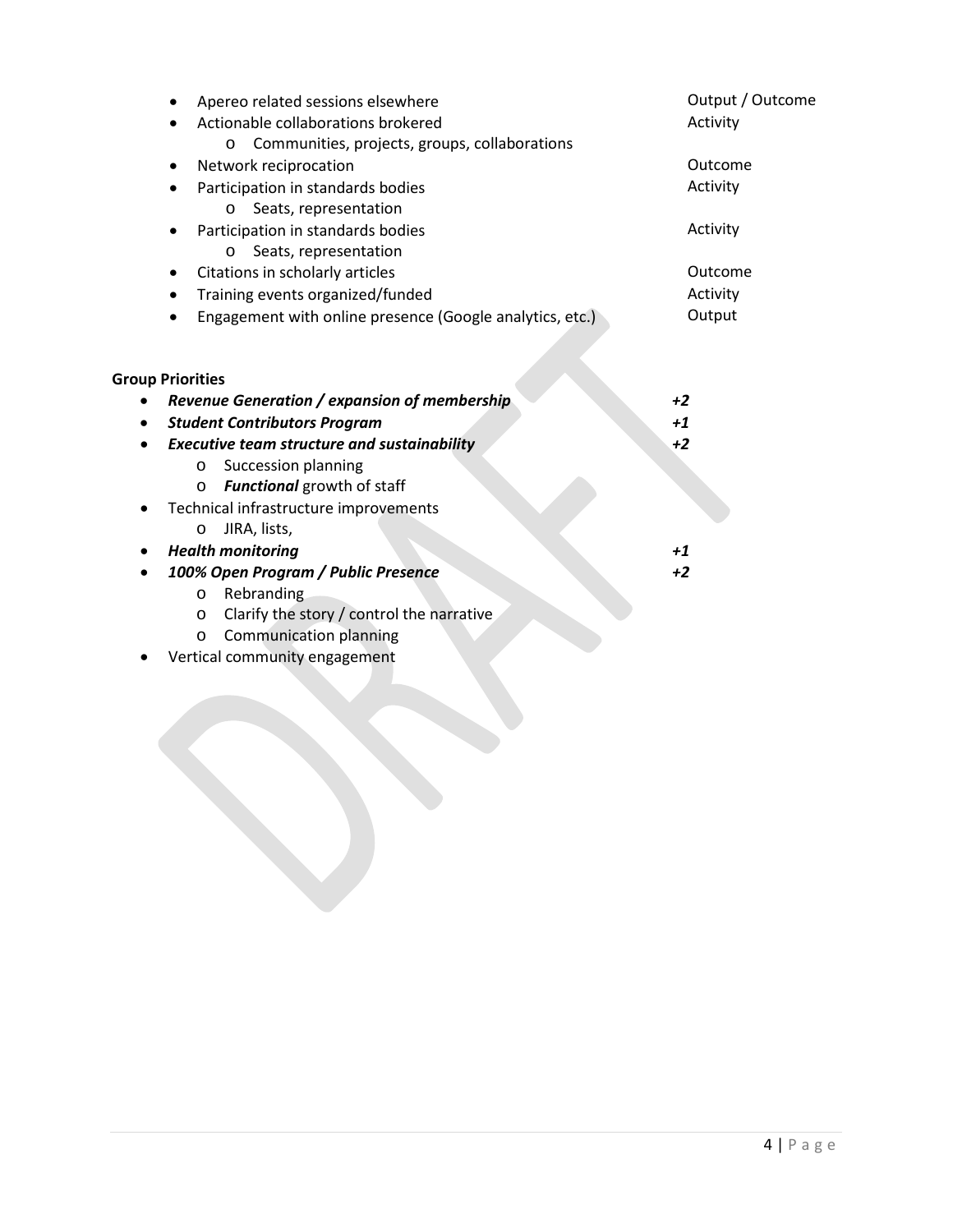| Apereo related sessions elsewhere                        | Output / Outcome |
|----------------------------------------------------------|------------------|
| Actionable collaborations brokered                       | Activity         |
| Communities, projects, groups, collaborations<br>$\circ$ |                  |
| Network reciprocation                                    | Outcome          |
| Participation in standards bodies                        | Activity         |
| Seats, representation<br>$\circ$                         |                  |
| Participation in standards bodies                        | Activity         |
| Seats, representation<br>O                               |                  |
| Citations in scholarly articles                          | Outcome          |
| Training events organized/funded                         | Activity         |
| Engagement with online presence (Google analytics, etc.) | Output           |
|                                                          |                  |
|                                                          |                  |
| <b>Group Priorities</b>                                  |                  |
| Revenue Generation / expansion of membership             | $+2$             |
| <b>Student Contributors Program</b>                      | $+1$             |
| <b>Executive team structure and sustainability</b>       | $+2$             |
| Succession planning<br>$\circ$                           |                  |
| Functional growth of staff<br>$\circ$                    |                  |
| Technical infrastructure improvements                    |                  |
| JIRA, lists,<br>$\circ$                                  |                  |
| <b>Health monitoring</b>                                 | $+1$             |
| 100% Open Program / Public Presence                      | $+2$             |
| Rebranding<br>$\circ$                                    |                  |
| Clarify the story / control the narrative<br>$\circ$     |                  |
| <b>Communication planning</b><br>$\circ$                 |                  |
| Vertical community engagement                            |                  |

• Vertical community engag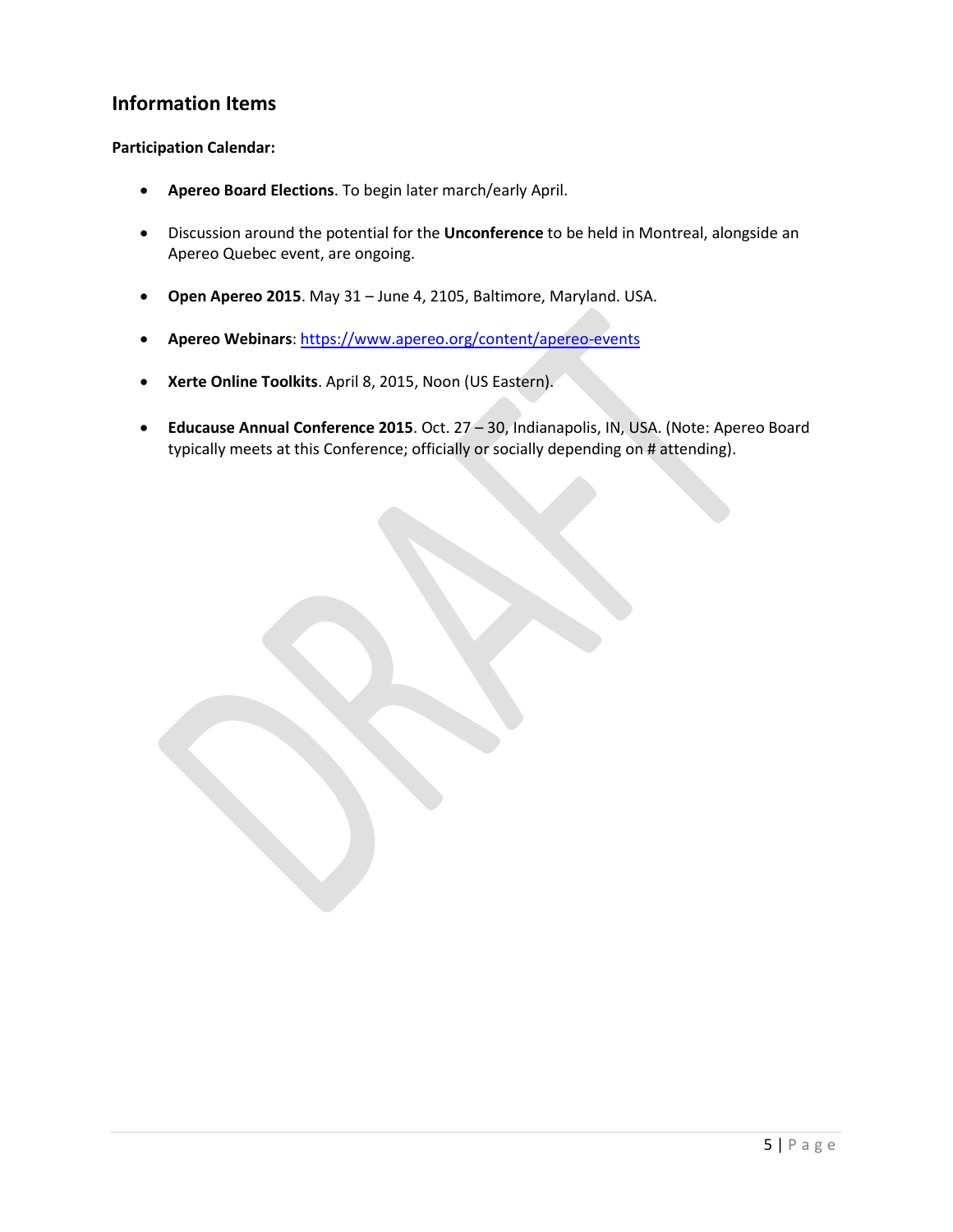# **Information Items**

## **Participation Calendar:**

- **Apereo Board Elections**. To begin later march/early April.
- Discussion around the potential for the **Unconference** to be held in Montreal, alongside an Apereo Quebec event, are ongoing.
- **Open Apereo 2015**. May 31 June 4, 2105, Baltimore, Maryland. USA.
- **Apereo Webinars**:<https://www.apereo.org/content/apereo-events>
- **Xerte Online Toolkits**. April 8, 2015, Noon (US Eastern).
- **Educause Annual Conference 2015**. Oct. 27 30, Indianapolis, IN, USA. (Note: Apereo Board typically meets at this Conference; officially or socially depending on # attending).